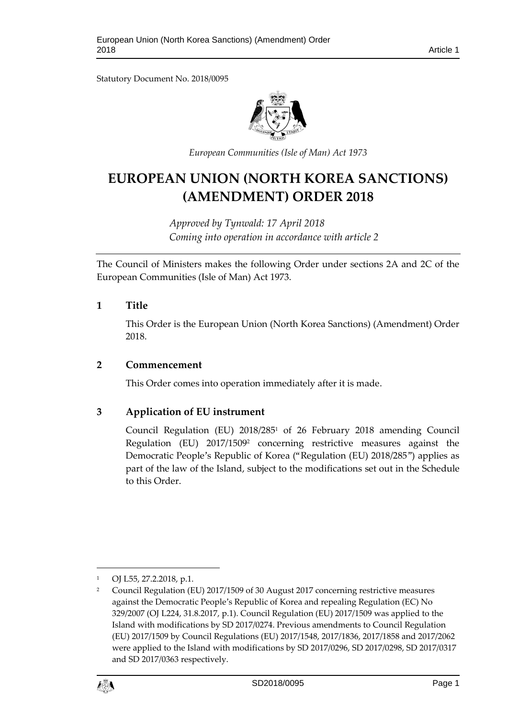Statutory Document No. 2018/0095



*European Communities (Isle of Man) Act 1973*

# **EUROPEAN UNION (NORTH KOREA SANCTIONS) (AMENDMENT) ORDER 2018**

*Approved by Tynwald: 17 April 2018 Coming into operation in accordance with article 2*

The Council of Ministers makes the following Order under sections 2A and 2C of the European Communities (Isle of Man) Act 1973.

# **1 Title**

This Order is the European Union (North Korea Sanctions) (Amendment) Order 2018.

### **2 Commencement**

This Order comes into operation immediately after it is made.

# **3 Application of EU instrument**

Council Regulation (EU) 2018/285<sup>1</sup> of 26 February 2018 amending Council Regulation (EU) 2017/1509<sup>2</sup> concerning restrictive measures against the Democratic People's Republic of Korea ("Regulation (EU) 2018/285") applies as part of the law of the Island, subject to the modifications set out in the Schedule to this Order.

<sup>2</sup> Council Regulation (EU) 2017/1509 of 30 August 2017 concerning restrictive measures against the Democratic People's Republic of Korea and repealing Regulation (EC) No 329/2007 (OJ L224, 31.8.2017, p.1). Council Regulation (EU) 2017/1509 was applied to the Island with modifications by SD 2017/0274. Previous amendments to Council Regulation (EU) 2017/1509 by Council Regulations (EU) 2017/1548, 2017/1836, 2017/1858 and 2017/2062 were applied to the Island with modifications by SD 2017/0296, SD 2017/0298, SD 2017/0317 and SD 2017/0363 respectively.



1

<sup>1</sup> OJ L55, 27.2.2018, p.1.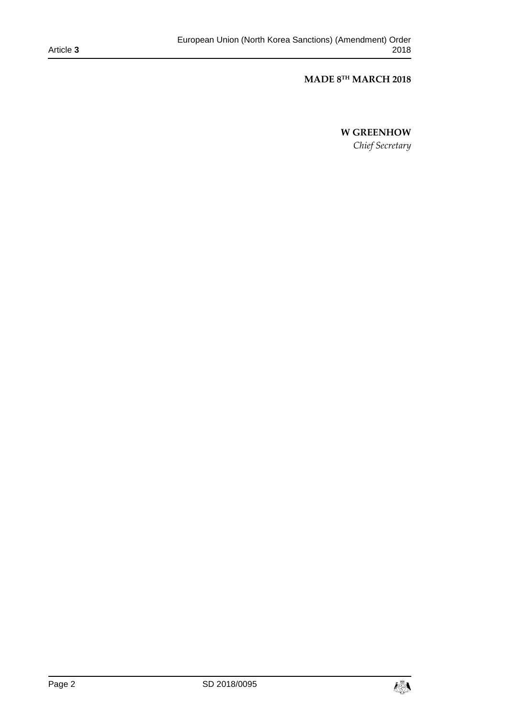#### Article **3**

#### **MADE 8 TH MARCH 2018**

# **W GREENHOW**

*Chief Secretary*

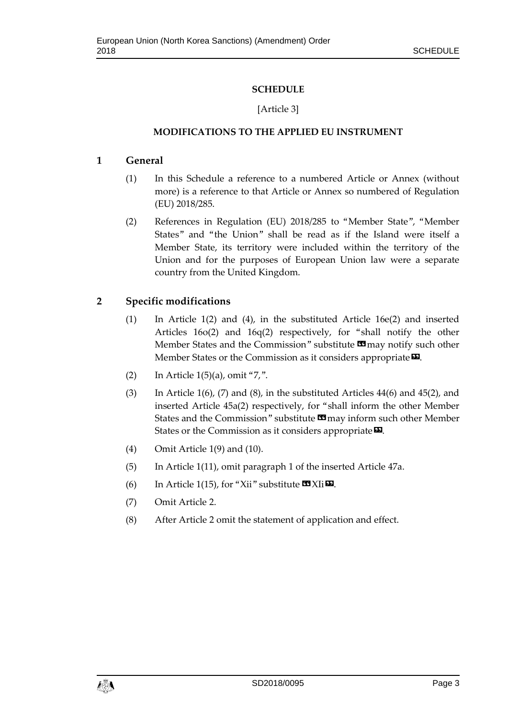# **SCHEDULE**

# [Article 3]

# **MODIFICATIONS TO THE APPLIED EU INSTRUMENT**

# **1 General**

- (1) In this Schedule a reference to a numbered Article or Annex (without more) is a reference to that Article or Annex so numbered of Regulation (EU) 2018/285.
- (2) References in Regulation (EU) 2018/285 to "Member State", "Member States" and "the Union" shall be read as if the Island were itself a Member State, its territory were included within the territory of the Union and for the purposes of European Union law were a separate country from the United Kingdom.

# **2 Specific modifications**

- (1) In Article 1(2) and (4), in the substituted Article 16e(2) and inserted Articles 16o(2) and 16q(2) respectively, for "shall notify the other Member States and the Commission" substitute **II** may notify such other Member States or the Commission as it considers appropriate $\boldsymbol{\mathsf{\Xi}}$ .
- (2) In Article  $1(5)(a)$ , omit "7,".
- (3) In Article  $1(6)$ , (7) and (8), in the substituted Articles 44(6) and 45(2), and inserted Article 45a(2) respectively, for "shall inform the other Member States and the Commission" substitute **II** may inform such other Member States or the Commission as it considers appropriate  $\boldsymbol{\mathsf{\Xi}}$ .
- (4) Omit Article 1(9) and (10).
- (5) In Article 1(11), omit paragraph 1 of the inserted Article 47a.
- (6) In Article 1(15), for "Xii" substitute  $\mathbf{X}$  XI<sub>i</sub> $\mathbf{E}$ .
- (7) Omit Article 2.
- (8) After Article 2 omit the statement of application and effect.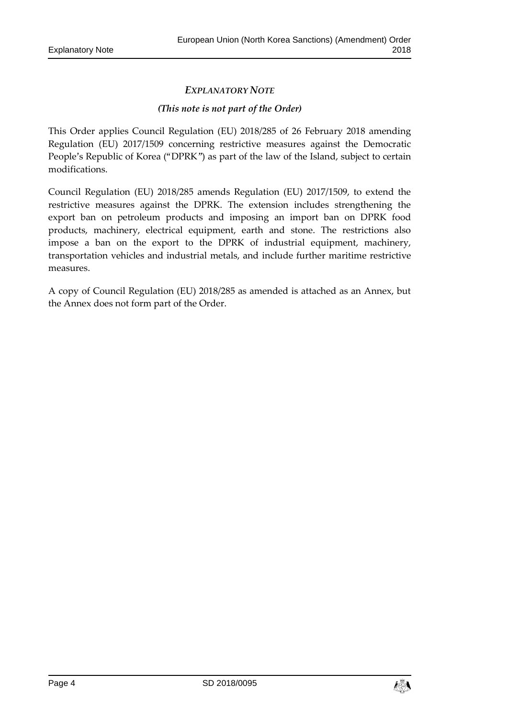# *EXPLANATORY NOTE*

### *(This note is not part of the Order)*

This Order applies Council Regulation (EU) 2018/285 of 26 February 2018 amending Regulation (EU) 2017/1509 concerning restrictive measures against the Democratic People's Republic of Korea ("DPRK") as part of the law of the Island, subject to certain modifications.

Council Regulation (EU) 2018/285 amends Regulation (EU) 2017/1509, to extend the restrictive measures against the DPRK. The extension includes strengthening the export ban on petroleum products and imposing an import ban on DPRK food products, machinery, electrical equipment, earth and stone. The restrictions also impose a ban on the export to the DPRK of industrial equipment, machinery, transportation vehicles and industrial metals, and include further maritime restrictive measures.

A copy of Council Regulation (EU) 2018/285 as amended is attached as an Annex, but the Annex does not form part of the Order.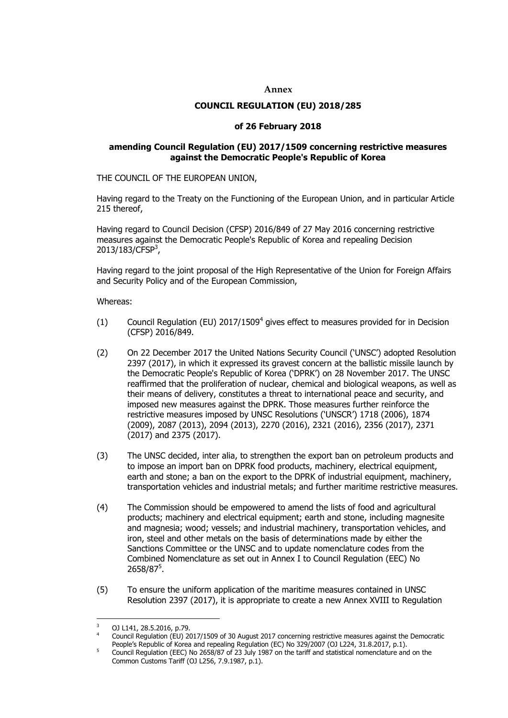#### **Annex**

#### **COUNCIL REGULATION (EU) 2018/285**

#### **of 26 February 2018**

#### **amending Council Regulation (EU) 2017/1509 concerning restrictive measures against the Democratic People's Republic of Korea**

THE COUNCIL OF THE EUROPEAN UNION,

Having regard to the Treaty on the Functioning of the European Union, and in particular Article 215 thereof,

Having regard to Council Decision (CFSP) 2016/849 of 27 May 2016 concerning restrictive measures against the Democratic People's Republic of Korea and repealing Decision 2013/183/CFSP<sup>3</sup>,

Having regard to the joint proposal of the High Representative of the Union for Foreign Affairs and Security Policy and of the European Commission,

Whereas:

- (1) Council Regulation (EU)  $2017/1509<sup>4</sup>$  gives effect to measures provided for in Decision (CFSP) 2016/849.
- (2) On 22 December 2017 the United Nations Security Council ('UNSC') adopted Resolution 2397 (2017), in which it expressed its gravest concern at the ballistic missile launch by the Democratic People's Republic of Korea ('DPRK') on 28 November 2017. The UNSC reaffirmed that the proliferation of nuclear, chemical and biological weapons, as well as their means of delivery, constitutes a threat to international peace and security, and imposed new measures against the DPRK. Those measures further reinforce the restrictive measures imposed by UNSC Resolutions ('UNSCR') 1718 (2006), 1874 (2009), 2087 (2013), 2094 (2013), 2270 (2016), 2321 (2016), 2356 (2017), 2371 (2017) and 2375 (2017).
- (3) The UNSC decided, inter alia, to strengthen the export ban on petroleum products and to impose an import ban on DPRK food products, machinery, electrical equipment, earth and stone; a ban on the export to the DPRK of industrial equipment, machinery, transportation vehicles and industrial metals; and further maritime restrictive measures.
- (4) The Commission should be empowered to amend the lists of food and agricultural products; machinery and electrical equipment; earth and stone, including magnesite and magnesia; wood; vessels; and industrial machinery, transportation vehicles, and iron, steel and other metals on the basis of determinations made by either the Sanctions Committee or the UNSC and to update nomenclature codes from the Combined Nomenclature as set out in Annex I to Council Regulation (EEC) No 2658/87<sup>5</sup>.
- (5) To ensure the uniform application of the maritime measures contained in UNSC Resolution 2397 (2017), it is appropriate to create a new Annex XVIII to Regulation

<sup>1</sup> <sup>3</sup> OJ L141, 28.5.2016, p.79.

<sup>4</sup> Council Regulation (EU) 2017/1509 of 30 August 2017 concerning restrictive measures against the Democratic People's Republic of Korea and repealing Regulation (EC) No 329/2007 (OJ L224, 31.8.2017, p.1).

<sup>5</sup> Council Regulation (EEC) No 2658/87 of 23 July 1987 on the tariff and statistical nomenclature and on the Common Customs Tariff (OJ L256, 7.9.1987, p.1).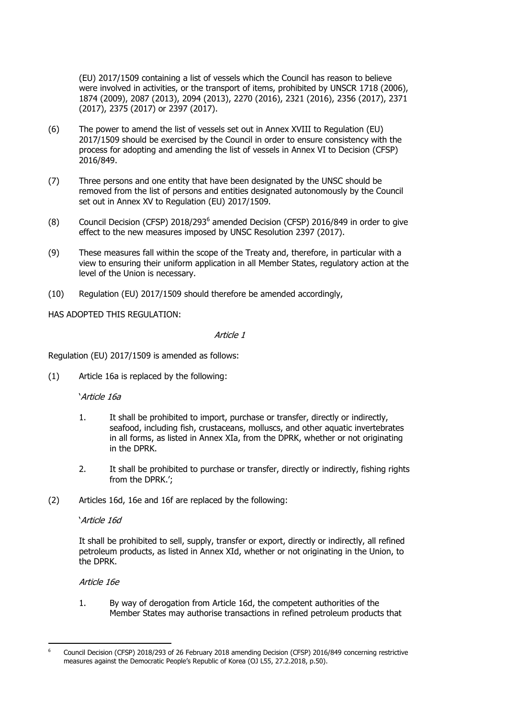(EU) 2017/1509 containing a list of vessels which the Council has reason to believe were involved in activities, or the transport of items, prohibited by UNSCR 1718 (2006), 1874 (2009), 2087 (2013), 2094 (2013), 2270 (2016), 2321 (2016), 2356 (2017), 2371 (2017), 2375 (2017) or 2397 (2017).

- (6) The power to amend the list of vessels set out in Annex XVIII to Regulation (EU) 2017/1509 should be exercised by the Council in order to ensure consistency with the process for adopting and amending the list of vessels in Annex VI to Decision (CFSP) 2016/849.
- (7) Three persons and one entity that have been designated by the UNSC should be removed from the list of persons and entities designated autonomously by the Council set out in Annex XV to Regulation (EU) 2017/1509.
- $(8)$  Council Decision (CFSP) 2018/293<sup>6</sup> amended Decision (CFSP) 2016/849 in order to give effect to the new measures imposed by UNSC Resolution 2397 (2017).
- (9) These measures fall within the scope of the Treaty and, therefore, in particular with a view to ensuring their uniform application in all Member States, regulatory action at the level of the Union is necessary.
- (10) Regulation (EU) 2017/1509 should therefore be amended accordingly,

HAS ADOPTED THIS REGULATION:

#### Article 1

Regulation (EU) 2017/1509 is amended as follows:

(1) Article 16a is replaced by the following:

#### 'Article 16a

- 1. It shall be prohibited to import, purchase or transfer, directly or indirectly, seafood, including fish, crustaceans, molluscs, and other aquatic invertebrates in all forms, as listed in Annex XIa, from the DPRK, whether or not originating in the DPRK.
- 2. It shall be prohibited to purchase or transfer, directly or indirectly, fishing rights from the DPRK.';
- (2) Articles 16d, 16e and 16f are replaced by the following:

#### 'Article 16d

It shall be prohibited to sell, supply, transfer or export, directly or indirectly, all refined petroleum products, as listed in Annex XId, whether or not originating in the Union, to the DPRK.

Article 16e

1. By way of derogation from Article 16d, the competent authorities of the Member States may authorise transactions in refined petroleum products that

<sup>-</sup><sup>6</sup> Council Decision (CFSP) 2018/293 of 26 February 2018 amending Decision (CFSP) 2016/849 concerning restrictive measures against the Democratic People's Republic of Korea (OJ L55, 27.2.2018, p.50).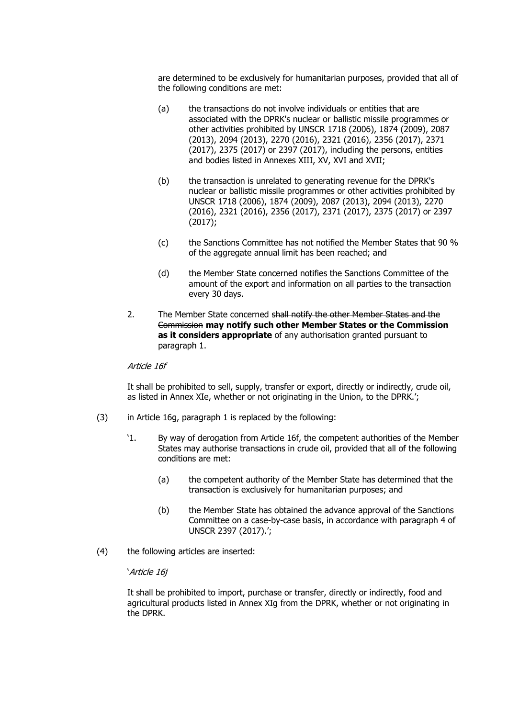are determined to be exclusively for humanitarian purposes, provided that all of the following conditions are met:

- (a) the transactions do not involve individuals or entities that are associated with the DPRK's nuclear or ballistic missile programmes or other activities prohibited by UNSCR 1718 (2006), 1874 (2009), 2087 (2013), 2094 (2013), 2270 (2016), 2321 (2016), 2356 (2017), 2371 (2017), 2375 (2017) or 2397 (2017), including the persons, entities and bodies listed in Annexes XIII, XV, XVI and XVII;
- (b) the transaction is unrelated to generating revenue for the DPRK's nuclear or ballistic missile programmes or other activities prohibited by UNSCR 1718 (2006), 1874 (2009), 2087 (2013), 2094 (2013), 2270 (2016), 2321 (2016), 2356 (2017), 2371 (2017), 2375 (2017) or 2397 (2017);
- (c) the Sanctions Committee has not notified the Member States that 90 % of the aggregate annual limit has been reached; and
- (d) the Member State concerned notifies the Sanctions Committee of the amount of the export and information on all parties to the transaction every 30 days.
- 2. The Member State concerned shall notify the other Member States and the Commission **may notify such other Member States or the Commission as it considers appropriate** of any authorisation granted pursuant to paragraph 1.

#### Article 16f

It shall be prohibited to sell, supply, transfer or export, directly or indirectly, crude oil, as listed in Annex XIe, whether or not originating in the Union, to the DPRK.';

- (3) in Article 16g, paragraph 1 is replaced by the following:
	- '1. By way of derogation from Article 16f, the competent authorities of the Member States may authorise transactions in crude oil, provided that all of the following conditions are met:
		- (a) the competent authority of the Member State has determined that the transaction is exclusively for humanitarian purposes; and
		- (b) the Member State has obtained the advance approval of the Sanctions Committee on a case-by-case basis, in accordance with paragraph 4 of UNSCR 2397 (2017).';
- (4) the following articles are inserted:

#### 'Article 16j

It shall be prohibited to import, purchase or transfer, directly or indirectly, food and agricultural products listed in Annex XIg from the DPRK, whether or not originating in the DPRK.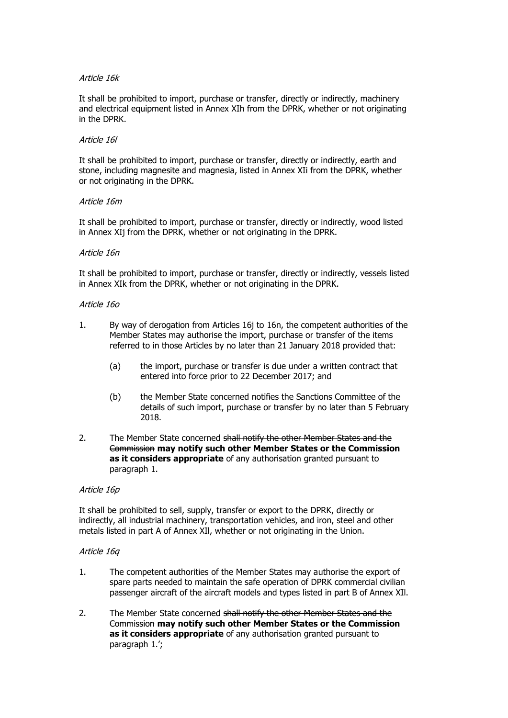#### Article 16k

It shall be prohibited to import, purchase or transfer, directly or indirectly, machinery and electrical equipment listed in Annex XIh from the DPRK, whether or not originating in the DPRK.

#### Article 16l

It shall be prohibited to import, purchase or transfer, directly or indirectly, earth and stone, including magnesite and magnesia, listed in Annex XIi from the DPRK, whether or not originating in the DPRK.

#### Article 16m

It shall be prohibited to import, purchase or transfer, directly or indirectly, wood listed in Annex XIj from the DPRK, whether or not originating in the DPRK.

#### Article 16n

It shall be prohibited to import, purchase or transfer, directly or indirectly, vessels listed in Annex XIk from the DPRK, whether or not originating in the DPRK.

#### Article 16o

- 1. By way of derogation from Articles 16j to 16n, the competent authorities of the Member States may authorise the import, purchase or transfer of the items referred to in those Articles by no later than 21 January 2018 provided that:
	- (a) the import, purchase or transfer is due under a written contract that entered into force prior to 22 December 2017; and
	- (b) the Member State concerned notifies the Sanctions Committee of the details of such import, purchase or transfer by no later than 5 February 2018.
- 2. The Member State concerned shall notify the other Member States and the Commission **may notify such other Member States or the Commission as it considers appropriate** of any authorisation granted pursuant to paragraph 1.

#### Article 16p

It shall be prohibited to sell, supply, transfer or export to the DPRK, directly or indirectly, all industrial machinery, transportation vehicles, and iron, steel and other metals listed in part A of Annex XIl, whether or not originating in the Union.

#### Article 16q

- 1. The competent authorities of the Member States may authorise the export of spare parts needed to maintain the safe operation of DPRK commercial civilian passenger aircraft of the aircraft models and types listed in part B of Annex XIl.
- 2. The Member State concerned shall notify the other Member States and the Commission **may notify such other Member States or the Commission as it considers appropriate** of any authorisation granted pursuant to paragraph 1.';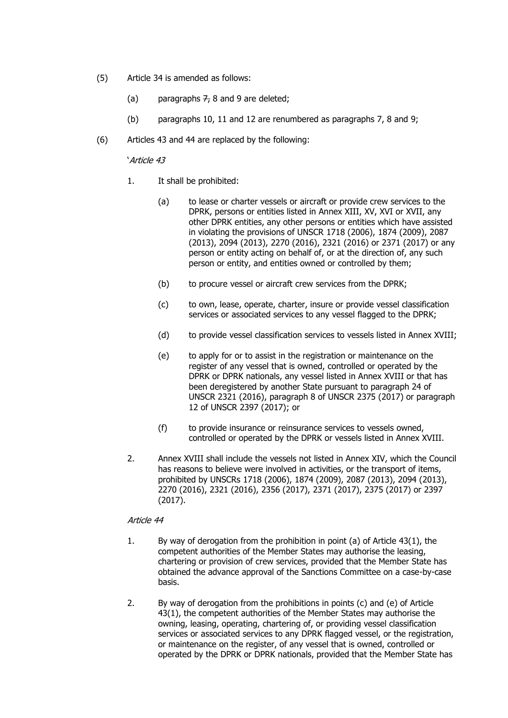- (5) Article 34 is amended as follows:
	- (a) paragraphs  $7, 8$  and 9 are deleted;
	- (b) paragraphs 10, 11 and 12 are renumbered as paragraphs 7, 8 and 9;
- (6) Articles 43 and 44 are replaced by the following:

'Article 43

- 1. It shall be prohibited:
	- (a) to lease or charter vessels or aircraft or provide crew services to the DPRK, persons or entities listed in Annex XIII, XV, XVI or XVII, any other DPRK entities, any other persons or entities which have assisted in violating the provisions of UNSCR 1718 (2006), 1874 (2009), 2087 (2013), 2094 (2013), 2270 (2016), 2321 (2016) or 2371 (2017) or any person or entity acting on behalf of, or at the direction of, any such person or entity, and entities owned or controlled by them;
	- (b) to procure vessel or aircraft crew services from the DPRK;
	- (c) to own, lease, operate, charter, insure or provide vessel classification services or associated services to any vessel flagged to the DPRK;
	- (d) to provide vessel classification services to vessels listed in Annex XVIII;
	- (e) to apply for or to assist in the registration or maintenance on the register of any vessel that is owned, controlled or operated by the DPRK or DPRK nationals, any vessel listed in Annex XVIII or that has been deregistered by another State pursuant to paragraph 24 of UNSCR 2321 (2016), paragraph 8 of UNSCR 2375 (2017) or paragraph 12 of UNSCR 2397 (2017); or
	- (f) to provide insurance or reinsurance services to vessels owned, controlled or operated by the DPRK or vessels listed in Annex XVIII.
- 2. Annex XVIII shall include the vessels not listed in Annex XIV, which the Council has reasons to believe were involved in activities, or the transport of items, prohibited by UNSCRs 1718 (2006), 1874 (2009), 2087 (2013), 2094 (2013), 2270 (2016), 2321 (2016), 2356 (2017), 2371 (2017), 2375 (2017) or 2397 (2017).

#### Article 44

- 1. By way of derogation from the prohibition in point (a) of Article 43(1), the competent authorities of the Member States may authorise the leasing, chartering or provision of crew services, provided that the Member State has obtained the advance approval of the Sanctions Committee on a case-by-case basis.
- 2. By way of derogation from the prohibitions in points (c) and (e) of Article 43(1), the competent authorities of the Member States may authorise the owning, leasing, operating, chartering of, or providing vessel classification services or associated services to any DPRK flagged vessel, or the registration, or maintenance on the register, of any vessel that is owned, controlled or operated by the DPRK or DPRK nationals, provided that the Member State has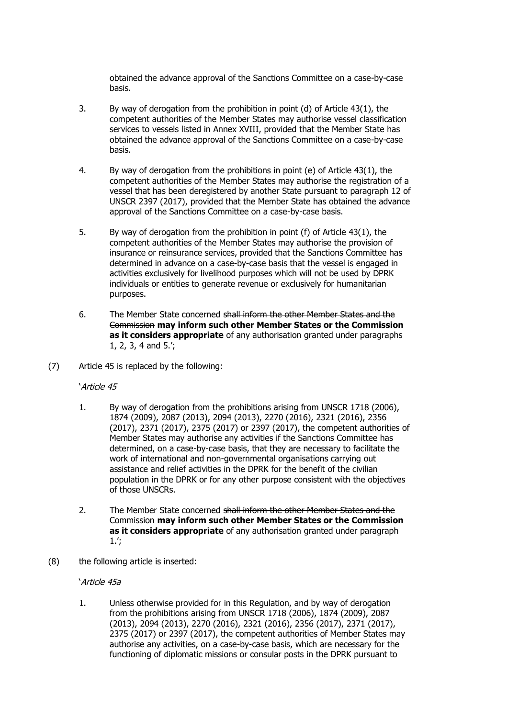obtained the advance approval of the Sanctions Committee on a case-by-case basis.

- 3. By way of derogation from the prohibition in point (d) of Article 43(1), the competent authorities of the Member States may authorise vessel classification services to vessels listed in Annex XVIII, provided that the Member State has obtained the advance approval of the Sanctions Committee on a case-by-case basis.
- 4. By way of derogation from the prohibitions in point (e) of Article 43(1), the competent authorities of the Member States may authorise the registration of a vessel that has been deregistered by another State pursuant to paragraph 12 of UNSCR 2397 (2017), provided that the Member State has obtained the advance approval of the Sanctions Committee on a case-by-case basis.
- 5. By way of derogation from the prohibition in point (f) of Article 43(1), the competent authorities of the Member States may authorise the provision of insurance or reinsurance services, provided that the Sanctions Committee has determined in advance on a case-by-case basis that the vessel is engaged in activities exclusively for livelihood purposes which will not be used by DPRK individuals or entities to generate revenue or exclusively for humanitarian purposes.
- 6. The Member State concerned shall inform the other Member States and the Commission **may inform such other Member States or the Commission as it considers appropriate** of any authorisation granted under paragraphs 1, 2, 3, 4 and 5.';
- (7) Article 45 is replaced by the following:

'Article 45

- 1. By way of derogation from the prohibitions arising from UNSCR 1718 (2006), 1874 (2009), 2087 (2013), 2094 (2013), 2270 (2016), 2321 (2016), 2356 (2017), 2371 (2017), 2375 (2017) or 2397 (2017), the competent authorities of Member States may authorise any activities if the Sanctions Committee has determined, on a case-by-case basis, that they are necessary to facilitate the work of international and non-governmental organisations carrying out assistance and relief activities in the DPRK for the benefit of the civilian population in the DPRK or for any other purpose consistent with the objectives of those UNSCRs.
- 2. The Member State concerned shall inform the other Member States and the Commission **may inform such other Member States or the Commission as it considers appropriate** of any authorisation granted under paragraph 1.';
- (8) the following article is inserted:

'Article 45a

1. Unless otherwise provided for in this Regulation, and by way of derogation from the prohibitions arising from UNSCR 1718 (2006), 1874 (2009), 2087 (2013), 2094 (2013), 2270 (2016), 2321 (2016), 2356 (2017), 2371 (2017), 2375 (2017) or 2397 (2017), the competent authorities of Member States may authorise any activities, on a case-by-case basis, which are necessary for the functioning of diplomatic missions or consular posts in the DPRK pursuant to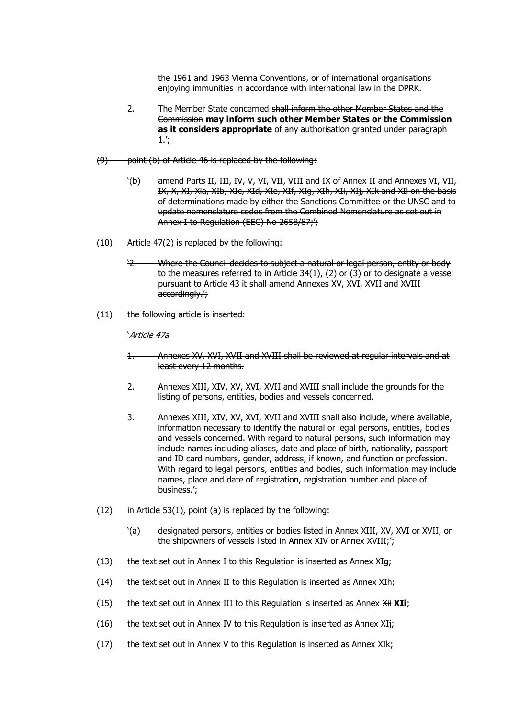the 1961 and 1963 Vienna Conventions, or of international organisations enjoying immunities in accordance with international law in the DPRK.

- 2. The Member State concerned shall inform the other Member States and the Commission **may inform such other Member States or the Commission as it considers appropriate** of any authorisation granted under paragraph 1.';
- (9) point (b) of Article 46 is replaced by the following:
	- '(b) amend Parts II, III, IV, V, VI, VII, VIII and IX of Annex II and Annexes VI, VII, IX, X, XI, Xia, XIb, XIc, XId, XIe, XIf, XIg, XIh, XIi, XIj, XIk and XIl on the basis of determinations made by either the Sanctions Committee or the UNSC and to update nomenclature codes from the Combined Nomenclature as set out in Annex I to Regulation (EEC) No 2658/87;';
- (10) Article 47(2) is replaced by the following:
	- '2. Where the Council decides to subject a natural or legal person, entity or body to the measures referred to in Article 34(1), (2) or (3) or to designate a vessel pursuant to Article 43 it shall amend Annexes XV, XVI, XVII and XVIII accordingly.';
- (11) the following article is inserted:

'Article 47a

- 1. Annexes XV, XVI, XVII and XVIII shall be reviewed at regular intervals and at least every 12 months.
- 2. Annexes XIII, XIV, XV, XVI, XVII and XVIII shall include the grounds for the listing of persons, entities, bodies and vessels concerned.
- 3. Annexes XIII, XIV, XV, XVI, XVII and XVIII shall also include, where available, information necessary to identify the natural or legal persons, entities, bodies and vessels concerned. With regard to natural persons, such information may include names including aliases, date and place of birth, nationality, passport and ID card numbers, gender, address, if known, and function or profession. With regard to legal persons, entities and bodies, such information may include names, place and date of registration, registration number and place of business.';
- $(12)$  in Article 53(1), point (a) is replaced by the following:
	- '(a) designated persons, entities or bodies listed in Annex XIII, XV, XVI or XVII, or the shipowners of vessels listed in Annex XIV or Annex XVIII;';
- (13) the text set out in Annex I to this Regulation is inserted as Annex XIg;
- (14) the text set out in Annex II to this Regulation is inserted as Annex XIh;
- (15) the text set out in Annex III to this Regulation is inserted as Annex  $\overrightarrow{Xii}$  XII;
- (16) the text set out in Annex IV to this Regulation is inserted as Annex XIj;
- (17) the text set out in Annex V to this Regulation is inserted as Annex XIk;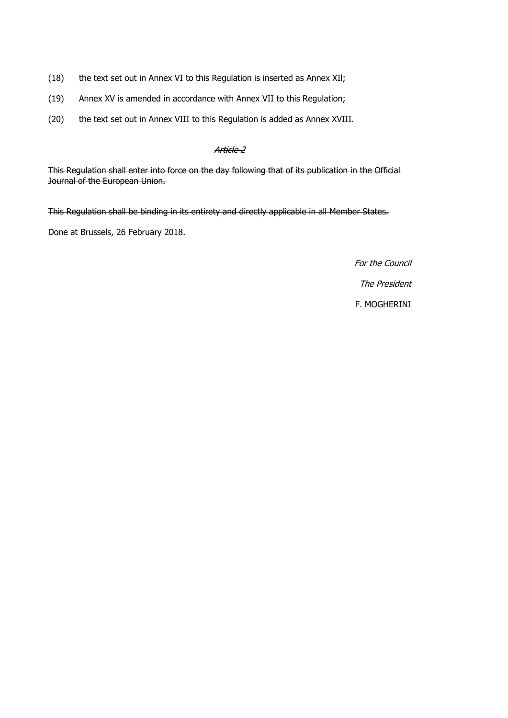- (18) the text set out in Annex VI to this Regulation is inserted as Annex XIl;
- (19) Annex XV is amended in accordance with Annex VII to this Regulation;
- (20) the text set out in Annex VIII to this Regulation is added as Annex XVIII.

#### Article 2

This Regulation shall enter into force on the day following that of its publication in the Official Journal of the European Union.

This Regulation shall be binding in its entirety and directly applicable in all Member States.

Done at Brussels, 26 February 2018.

For the Council

The President

F. MOGHERINI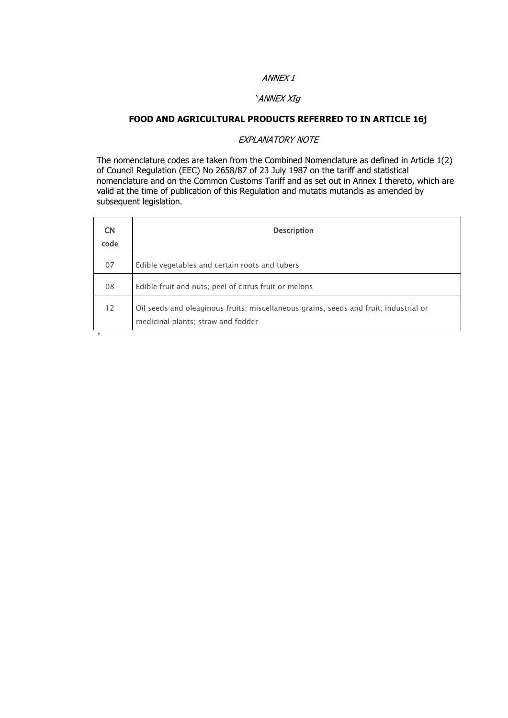### ANNEX I

#### 'ANNEX XIg

### **FOOD AND AGRICULTURAL PRODUCTS REFERRED TO IN ARTICLE 16j**

#### EXPLANATORY NOTE

The nomenclature codes are taken from the Combined Nomenclature as defined in Article 1(2) of Council Regulation (EEC) No 2658/87 of 23 July 1987 on the tariff and statistical nomenclature and on the Common Customs Tariff and as set out in Annex I thereto, which are valid at the time of publication of this Regulation and mutatis mutandis as amended by subsequent legislation.

ă,

| <b>CN</b><br>code | <b>Description</b>                                                                                                          |
|-------------------|-----------------------------------------------------------------------------------------------------------------------------|
| 07                | Edible vegetables and certain roots and tubers                                                                              |
| 08                | Edible fruit and nuts; peel of citrus fruit or melons                                                                       |
| 12                | Oil seeds and oleaginous fruits; miscellaneous grains, seeds and fruit; industrial or<br>medicinal plants; straw and fodder |
|                   |                                                                                                                             |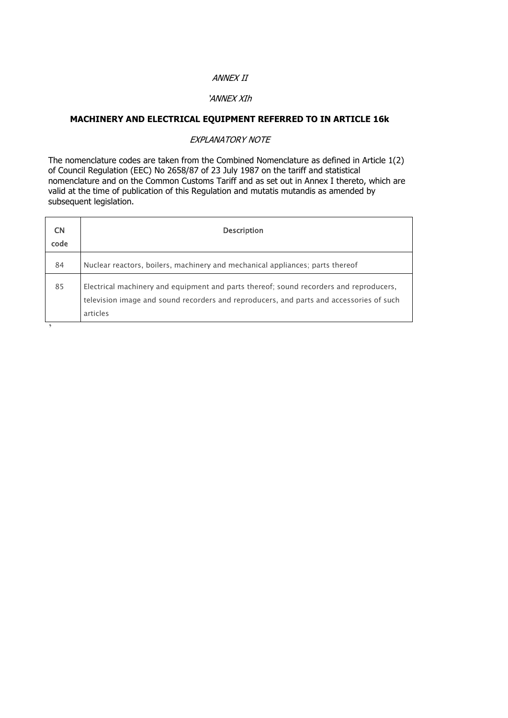#### ANNEX II

#### 'ANNEX XIh

# **MACHINERY AND ELECTRICAL EQUIPMENT REFERRED TO IN ARTICLE 16k**

#### EXPLANATORY NOTE

| <b>CN</b><br>code | <b>Description</b>                                                                                                                                                                            |
|-------------------|-----------------------------------------------------------------------------------------------------------------------------------------------------------------------------------------------|
| 84                | Nuclear reactors, boilers, machinery and mechanical appliances; parts thereof                                                                                                                 |
| 85                | Electrical machinery and equipment and parts thereof; sound recorders and reproducers,<br>television image and sound recorders and reproducers, and parts and accessories of such<br>articles |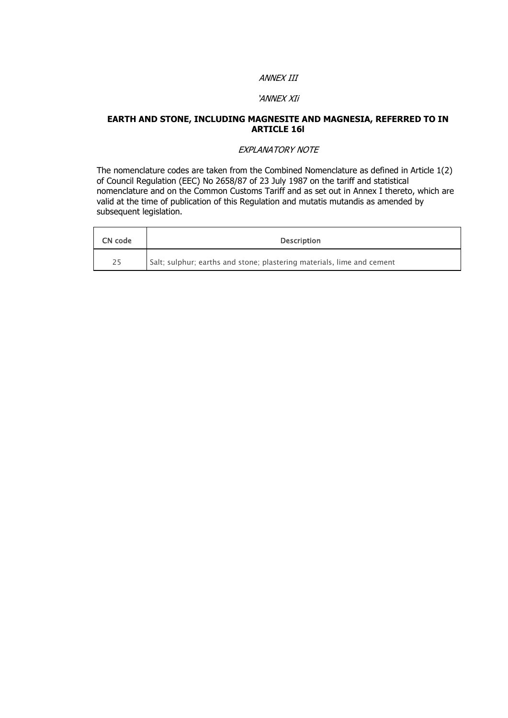### ANNEX III

#### 'ANNEX XIi

#### **EARTH AND STONE, INCLUDING MAGNESITE AND MAGNESIA, REFERRED TO IN ARTICLE 16l**

#### EXPLANATORY NOTE

| CN code | <b>Description</b>                                                     |
|---------|------------------------------------------------------------------------|
| 25      | Salt; sulphur; earths and stone; plastering materials, lime and cement |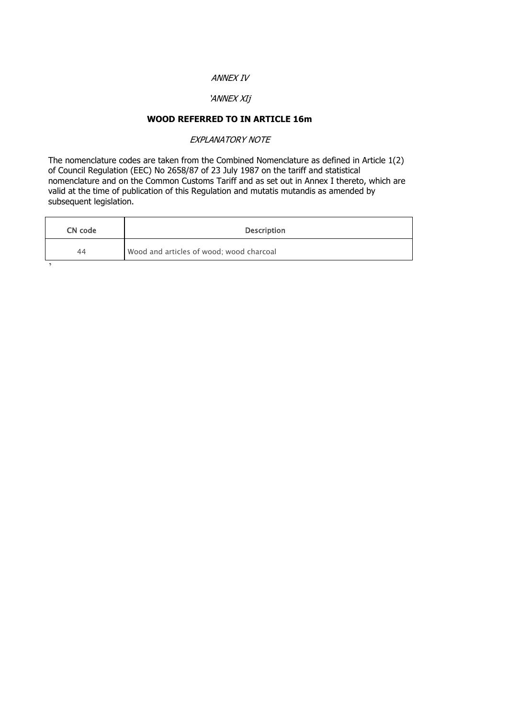#### ANNEX IV

# 'ANNEX XIj

# **WOOD REFERRED TO IN ARTICLE 16m**

EXPLANATORY NOTE

| CN code | <b>Description</b>                       |
|---------|------------------------------------------|
| 44      | Wood and articles of wood; wood charcoal |
|         |                                          |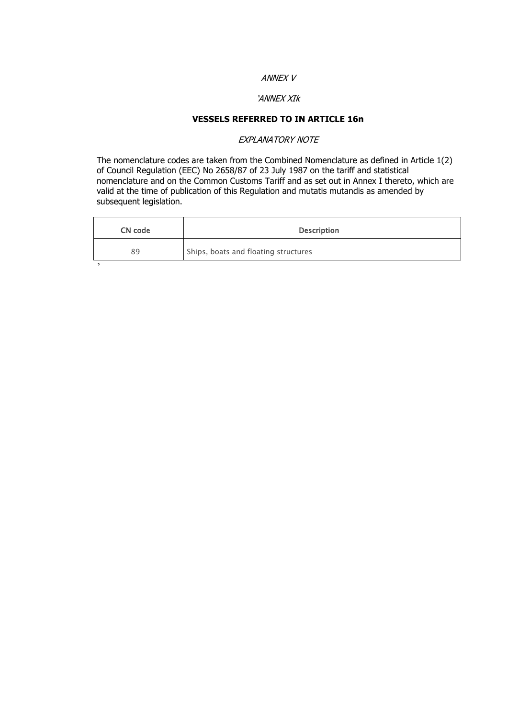#### ANNEX V

#### 'ANNEX XIk

# **VESSELS REFERRED TO IN ARTICLE 16n**

#### EXPLANATORY NOTE

| CN code | <b>Description</b>                   |  |  |
|---------|--------------------------------------|--|--|
| 89      | Ships, boats and floating structures |  |  |
|         |                                      |  |  |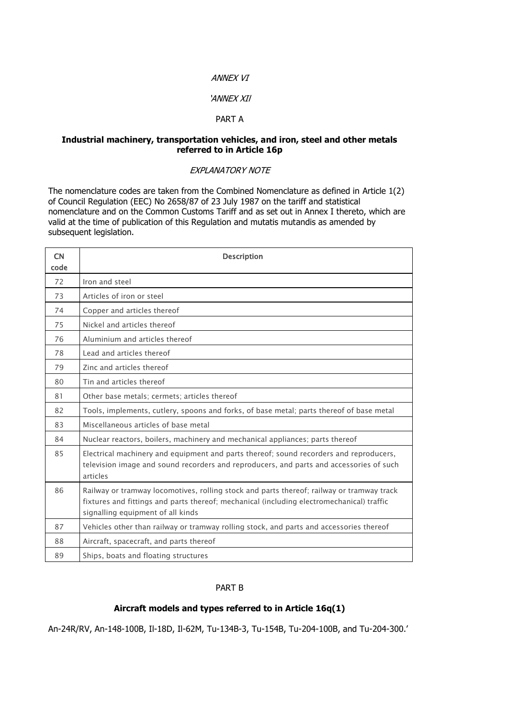#### ANNEX VI

#### 'ANNEX XIl

#### PART A

#### **Industrial machinery, transportation vehicles, and iron, steel and other metals referred to in Article 16p**

#### EXPLANATORY NOTE

The nomenclature codes are taken from the Combined Nomenclature as defined in Article 1(2) of Council Regulation (EEC) No 2658/87 of 23 July 1987 on the tariff and statistical nomenclature and on the Common Customs Tariff and as set out in Annex I thereto, which are valid at the time of publication of this Regulation and mutatis mutandis as amended by subsequent legislation.

| <b>CN</b><br>code | <b>Description</b>                                                                                                                                                                                                          |  |  |
|-------------------|-----------------------------------------------------------------------------------------------------------------------------------------------------------------------------------------------------------------------------|--|--|
| 72                | Iron and steel                                                                                                                                                                                                              |  |  |
| 73                | Articles of iron or steel                                                                                                                                                                                                   |  |  |
| 74                | Copper and articles thereof                                                                                                                                                                                                 |  |  |
| 75                | Nickel and articles thereof                                                                                                                                                                                                 |  |  |
| 76                | Aluminium and articles thereof                                                                                                                                                                                              |  |  |
| 78                | Lead and articles thereof                                                                                                                                                                                                   |  |  |
| 79                | Zinc and articles thereof                                                                                                                                                                                                   |  |  |
| 80                | Tin and articles thereof                                                                                                                                                                                                    |  |  |
| 81                | Other base metals; cermets; articles thereof                                                                                                                                                                                |  |  |
| 82                | Tools, implements, cutlery, spoons and forks, of base metal; parts thereof of base metal                                                                                                                                    |  |  |
| 83                | Miscellaneous articles of base metal                                                                                                                                                                                        |  |  |
| 84                | Nuclear reactors, boilers, machinery and mechanical appliances; parts thereof                                                                                                                                               |  |  |
| 85                | Electrical machinery and equipment and parts thereof; sound recorders and reproducers,<br>television image and sound recorders and reproducers, and parts and accessories of such<br>articles                               |  |  |
| 86                | Railway or tramway locomotives, rolling stock and parts thereof; railway or tramway track<br>fixtures and fittings and parts thereof; mechanical (including electromechanical) traffic<br>signalling equipment of all kinds |  |  |
| 87                | Vehicles other than railway or tramway rolling stock, and parts and accessories thereof                                                                                                                                     |  |  |
| 88                | Aircraft, spacecraft, and parts thereof                                                                                                                                                                                     |  |  |
| 89                | Ships, boats and floating structures                                                                                                                                                                                        |  |  |

#### PART B

### **Aircraft models and types referred to in Article 16q(1)**

An-24R/RV, An-148-100B, Il-18D, Il-62M, Tu-134B-3, Tu-154B, Tu-204-100B, and Tu-204-300.'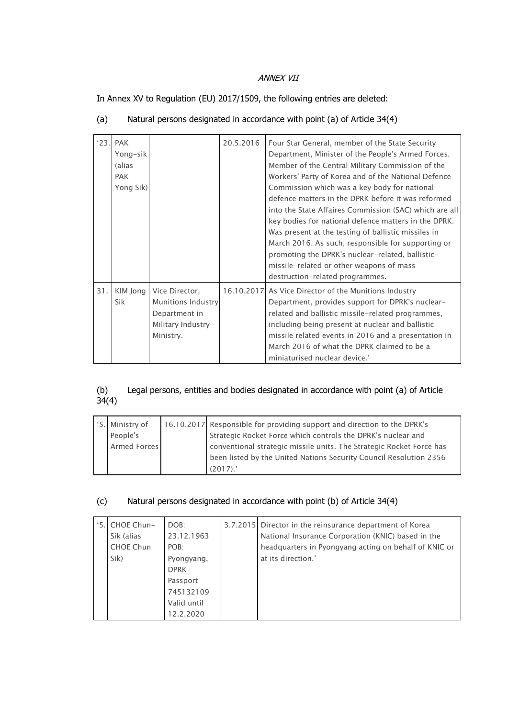### ANNEX VII

In Annex XV to Regulation (EU) 2017/1509, the following entries are deleted:

|     | $'23.$ PAK<br>Yong-sik<br>(alias<br><b>PAK</b><br>Yong Sik) |                                                                                         | 20.5.2016 | Four Star General, member of the State Security<br>Department, Minister of the People's Armed Forces.<br>Member of the Central Military Commission of the<br>Workers' Party of Korea and of the National Defence<br>Commission which was a key body for national<br>defence matters in the DPRK before it was reformed<br>into the State Affaires Commission (SAC) which are all<br>key bodies for national defence matters in the DPRK.<br>Was present at the testing of ballistic missiles in<br>March 2016. As such, responsible for supporting or<br>promoting the DPRK's nuclear-related, ballistic-<br>missile-related or other weapons of mass<br>destruction-related programmes. |
|-----|-------------------------------------------------------------|-----------------------------------------------------------------------------------------|-----------|------------------------------------------------------------------------------------------------------------------------------------------------------------------------------------------------------------------------------------------------------------------------------------------------------------------------------------------------------------------------------------------------------------------------------------------------------------------------------------------------------------------------------------------------------------------------------------------------------------------------------------------------------------------------------------------|
| 31. | KIM Jong<br>Sik                                             | Vice Director,<br>Munitions Industry<br>Department in<br>Military Industry<br>Ministry. |           | 16.10.2017 As Vice Director of the Munitions Industry<br>Department, provides support for DPRK's nuclear-<br>related and ballistic missile-related programmes,<br>including being present at nuclear and ballistic<br>missile related events in 2016 and a presentation in<br>March 2016 of what the DPRK claimed to be a<br>miniaturised nuclear device.'                                                                                                                                                                                                                                                                                                                               |

# (a) Natural persons designated in accordance with point (a) of Article 34(4)

# Legal persons, entities and bodies designated in accordance with point (a) of Article  $(b)$ <br>34(4)

| '5. Ministry of<br>People's<br>Armed Forces | 16.10.2017 Responsible for providing support and direction to the DPRK's<br>Strategic Rocket Force which controls the DPRK's nuclear and<br>conventional strategic missile units. The Strategic Rocket Force has<br>been listed by the United Nations Security Council Resolution 2356 |
|---------------------------------------------|----------------------------------------------------------------------------------------------------------------------------------------------------------------------------------------------------------------------------------------------------------------------------------------|
|                                             | (2017).                                                                                                                                                                                                                                                                                |

### (c) Natural persons designated in accordance with point (b) of Article 34(4)

| 5.1 | CHOE Chun-<br>Sik (alias<br>CHOE Chun<br>Sik) | DOB:<br>23.12.1963<br>POB:<br>Pyongyang,<br><b>DPRK</b><br>Passport<br>745132109<br>Valid until<br>12.2.2020 |  | 3.7.2015 Director in the reinsurance department of Korea<br>National Insurance Corporation (KNIC) based in the<br>headquarters in Pyongyang acting on behalf of KNIC or<br>at its direction.' |
|-----|-----------------------------------------------|--------------------------------------------------------------------------------------------------------------|--|-----------------------------------------------------------------------------------------------------------------------------------------------------------------------------------------------|
|-----|-----------------------------------------------|--------------------------------------------------------------------------------------------------------------|--|-----------------------------------------------------------------------------------------------------------------------------------------------------------------------------------------------|